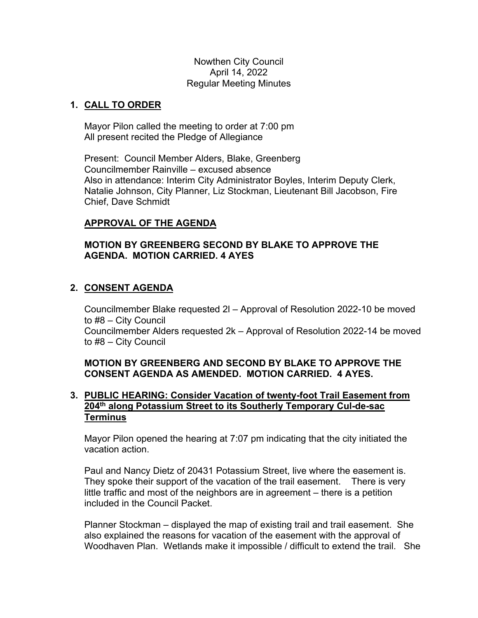Nowthen City Council April 14, 2022 Regular Meeting Minutes

## **1. CALL TO ORDER**

Mayor Pilon called the meeting to order at 7:00 pm All present recited the Pledge of Allegiance

Present: Council Member Alders, Blake, Greenberg Councilmember Rainville – excused absence Also in attendance: Interim City Administrator Boyles, Interim Deputy Clerk, Natalie Johnson, City Planner, Liz Stockman, Lieutenant Bill Jacobson, Fire Chief, Dave Schmidt

## **APPROVAL OF THE AGENDA**

### **MOTION BY GREENBERG SECOND BY BLAKE TO APPROVE THE AGENDA. MOTION CARRIED. 4 AYES**

## **2. CONSENT AGENDA**

Councilmember Blake requested 2l – Approval of Resolution 2022-10 be moved to #8 – City Council Councilmember Alders requested 2k – Approval of Resolution 2022-14 be moved to #8 – City Council

## **MOTION BY GREENBERG AND SECOND BY BLAKE TO APPROVE THE CONSENT AGENDA AS AMENDED. MOTION CARRIED. 4 AYES.**

## **3. PUBLIC HEARING: Consider Vacation of twenty-foot Trail Easement from 204th along Potassium Street to its Southerly Temporary Cul-de-sac Terminus**

Mayor Pilon opened the hearing at 7:07 pm indicating that the city initiated the vacation action.

Paul and Nancy Dietz of 20431 Potassium Street, live where the easement is. They spoke their support of the vacation of the trail easement. There is very little traffic and most of the neighbors are in agreement – there is a petition included in the Council Packet.

Planner Stockman – displayed the map of existing trail and trail easement. She also explained the reasons for vacation of the easement with the approval of Woodhaven Plan. Wetlands make it impossible / difficult to extend the trail. She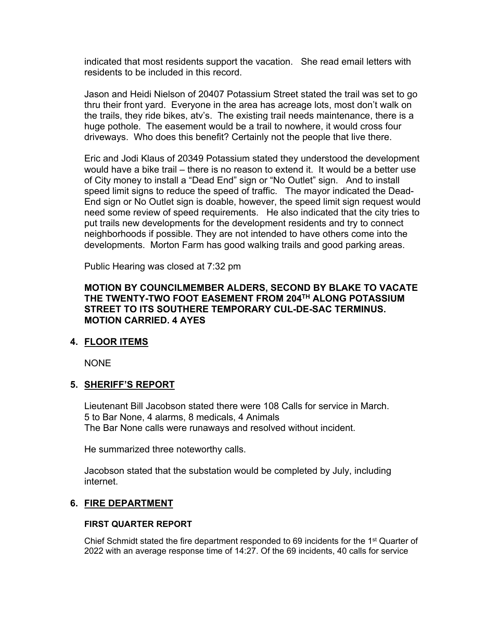indicated that most residents support the vacation. She read email letters with residents to be included in this record.

Jason and Heidi Nielson of 20407 Potassium Street stated the trail was set to go thru their front yard. Everyone in the area has acreage lots, most don't walk on the trails, they ride bikes, atv's. The existing trail needs maintenance, there is a huge pothole. The easement would be a trail to nowhere, it would cross four driveways. Who does this benefit? Certainly not the people that live there.

Eric and Jodi Klaus of 20349 Potassium stated they understood the development would have a bike trail – there is no reason to extend it. It would be a better use of City money to install a "Dead End" sign or "No Outlet" sign. And to install speed limit signs to reduce the speed of traffic. The mayor indicated the Dead-End sign or No Outlet sign is doable, however, the speed limit sign request would need some review of speed requirements. He also indicated that the city tries to put trails new developments for the development residents and try to connect neighborhoods if possible. They are not intended to have others come into the developments. Morton Farm has good walking trails and good parking areas.

Public Hearing was closed at 7:32 pm

### **MOTION BY COUNCILMEMBER ALDERS, SECOND BY BLAKE TO VACATE THE TWENTY-TWO FOOT EASEMENT FROM 204TH ALONG POTASSIUM STREET TO ITS SOUTHERE TEMPORARY CUL-DE-SAC TERMINUS. MOTION CARRIED. 4 AYES**

### **4. FLOOR ITEMS**

NONE

### **5. SHERIFF'S REPORT**

Lieutenant Bill Jacobson stated there were 108 Calls for service in March. 5 to Bar None, 4 alarms, 8 medicals, 4 Animals The Bar None calls were runaways and resolved without incident.

He summarized three noteworthy calls.

Jacobson stated that the substation would be completed by July, including internet.

### **6. FIRE DEPARTMENT**

### **FIRST QUARTER REPORT**

Chief Schmidt stated the fire department responded to 69 incidents for the  $1<sup>st</sup>$  Quarter of 2022 with an average response time of 14:27. Of the 69 incidents, 40 calls for service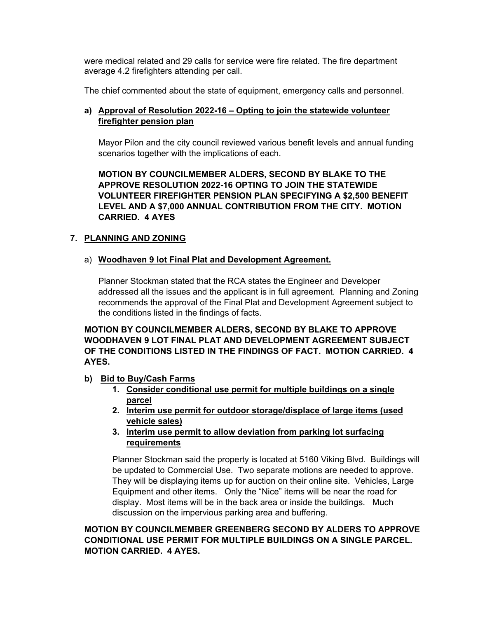were medical related and 29 calls for service were fire related. The fire department average 4.2 firefighters attending per call.

The chief commented about the state of equipment, emergency calls and personnel.

### **a) Approval of Resolution 2022-16 – Opting to join the statewide volunteer firefighter pension plan**

Mayor Pilon and the city council reviewed various benefit levels and annual funding scenarios together with the implications of each.

**MOTION BY COUNCILMEMBER ALDERS, SECOND BY BLAKE TO THE APPROVE RESOLUTION 2022-16 OPTING TO JOIN THE STATEWIDE VOLUNTEER FIREFIGHTER PENSION PLAN SPECIFYING A \$2,500 BENEFIT LEVEL AND A \$7,000 ANNUAL CONTRIBUTION FROM THE CITY. MOTION CARRIED. 4 AYES** 

### **7. PLANNING AND ZONING**

#### a) **Woodhaven 9 lot Final Plat and Development Agreement.**

Planner Stockman stated that the RCA states the Engineer and Developer addressed all the issues and the applicant is in full agreement. Planning and Zoning recommends the approval of the Final Plat and Development Agreement subject to the conditions listed in the findings of facts.

**MOTION BY COUNCILMEMBER ALDERS, SECOND BY BLAKE TO APPROVE WOODHAVEN 9 LOT FINAL PLAT AND DEVELOPMENT AGREEMENT SUBJECT OF THE CONDITIONS LISTED IN THE FINDINGS OF FACT. MOTION CARRIED. 4 AYES.** 

- **b) Bid to Buy/Cash Farms** 
	- **1. Consider conditional use permit for multiple buildings on a single parcel**
	- **2. Interim use permit for outdoor storage/displace of large items (used vehicle sales)**
	- **3. Interim use permit to allow deviation from parking lot surfacing requirements**

Planner Stockman said the property is located at 5160 Viking Blvd. Buildings will be updated to Commercial Use. Two separate motions are needed to approve. They will be displaying items up for auction on their online site. Vehicles, Large Equipment and other items. Only the "Nice" items will be near the road for display. Most items will be in the back area or inside the buildings. Much discussion on the impervious parking area and buffering.

### **MOTION BY COUNCILMEMBER GREENBERG SECOND BY ALDERS TO APPROVE CONDITIONAL USE PERMIT FOR MULTIPLE BUILDINGS ON A SINGLE PARCEL. MOTION CARRIED. 4 AYES.**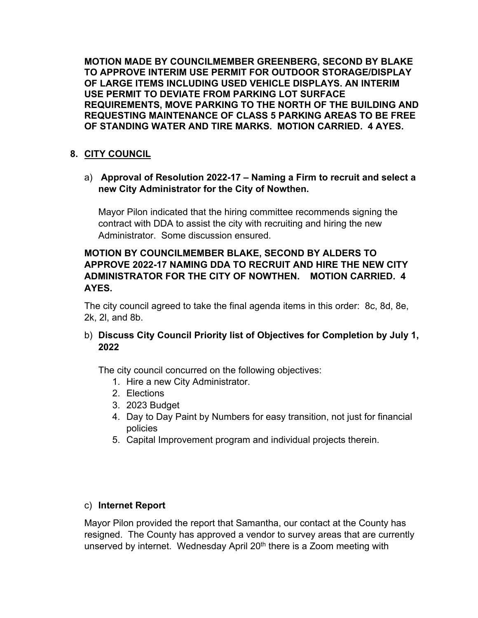**MOTION MADE BY COUNCILMEMBER GREENBERG, SECOND BY BLAKE TO APPROVE INTERIM USE PERMIT FOR OUTDOOR STORAGE/DISPLAY OF LARGE ITEMS INCLUDING USED VEHICLE DISPLAYS. AN INTERIM USE PERMIT TO DEVIATE FROM PARKING LOT SURFACE REQUIREMENTS, MOVE PARKING TO THE NORTH OF THE BUILDING AND REQUESTING MAINTENANCE OF CLASS 5 PARKING AREAS TO BE FREE OF STANDING WATER AND TIRE MARKS. MOTION CARRIED. 4 AYES.** 

# **8. CITY COUNCIL**

a) **Approval of Resolution 2022-17 – Naming a Firm to recruit and select a new City Administrator for the City of Nowthen.**

Mayor Pilon indicated that the hiring committee recommends signing the contract with DDA to assist the city with recruiting and hiring the new Administrator. Some discussion ensured.

## **MOTION BY COUNCILMEMBER BLAKE, SECOND BY ALDERS TO APPROVE 2022-17 NAMING DDA TO RECRUIT AND HIRE THE NEW CITY ADMINISTRATOR FOR THE CITY OF NOWTHEN. MOTION CARRIED. 4 AYES.**

 The city council agreed to take the final agenda items in this order: 8c, 8d, 8e, 2k, 2l, and 8b.

## b) **Discuss City Council Priority list of Objectives for Completion by July 1, 2022**

The city council concurred on the following objectives:

- 1. Hire a new City Administrator.
- 2. Elections
- 3. 2023 Budget
- 4. Day to Day Paint by Numbers for easy transition, not just for financial policies
- 5. Capital Improvement program and individual projects therein.

### c) **Internet Report**

Mayor Pilon provided the report that Samantha, our contact at the County has resigned. The County has approved a vendor to survey areas that are currently unserved by internet. Wednesday April 20<sup>th</sup> there is a Zoom meeting with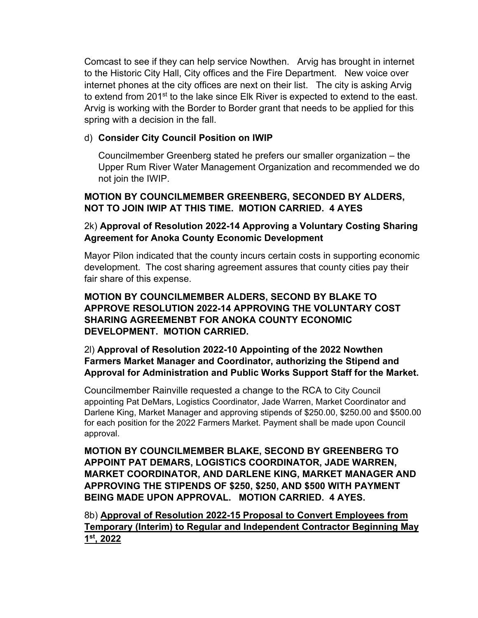Comcast to see if they can help service Nowthen. Arvig has brought in internet to the Historic City Hall, City offices and the Fire Department. New voice over internet phones at the city offices are next on their list. The city is asking Arvig to extend from 201<sup>st</sup> to the lake since Elk River is expected to extend to the east. Arvig is working with the Border to Border grant that needs to be applied for this spring with a decision in the fall.

## d) **Consider City Council Position on IWIP**

Councilmember Greenberg stated he prefers our smaller organization – the Upper Rum River Water Management Organization and recommended we do not join the IWIP.

## **MOTION BY COUNCILMEMBER GREENBERG, SECONDED BY ALDERS, NOT TO JOIN IWIP AT THIS TIME. MOTION CARRIED. 4 AYES**

## 2k) **Approval of Resolution 2022-14 Approving a Voluntary Costing Sharing Agreement for Anoka County Economic Development**

Mayor Pilon indicated that the county incurs certain costs in supporting economic development. The cost sharing agreement assures that county cities pay their fair share of this expense.

## **MOTION BY COUNCILMEMBER ALDERS, SECOND BY BLAKE TO APPROVE RESOLUTION 2022-14 APPROVING THE VOLUNTARY COST SHARING AGREEMENBT FOR ANOKA COUNTY ECONOMIC DEVELOPMENT. MOTION CARRIED.**

## 2l) **Approval of Resolution 2022-10 Appointing of the 2022 Nowthen Farmers Market Manager and Coordinator, authorizing the Stipend and Approval for Administration and Public Works Support Staff for the Market.**

Councilmember Rainville requested a change to the RCA to City Council appointing Pat DeMars, Logistics Coordinator, Jade Warren, Market Coordinator and Darlene King, Market Manager and approving stipends of \$250.00, \$250.00 and \$500.00 for each position for the 2022 Farmers Market. Payment shall be made upon Council approval.

**MOTION BY COUNCILMEMBER BLAKE, SECOND BY GREENBERG TO APPOINT PAT DEMARS, LOGISTICS COORDINATOR, JADE WARREN, MARKET COORDINATOR, AND DARLENE KING, MARKET MANAGER AND APPROVING THE STIPENDS OF \$250, \$250, AND \$500 WITH PAYMENT BEING MADE UPON APPROVAL. MOTION CARRIED. 4 AYES.**

8b) **Approval of Resolution 2022-15 Proposal to Convert Employees from Temporary (Interim) to Regular and Independent Contractor Beginning May 1st, 2022**